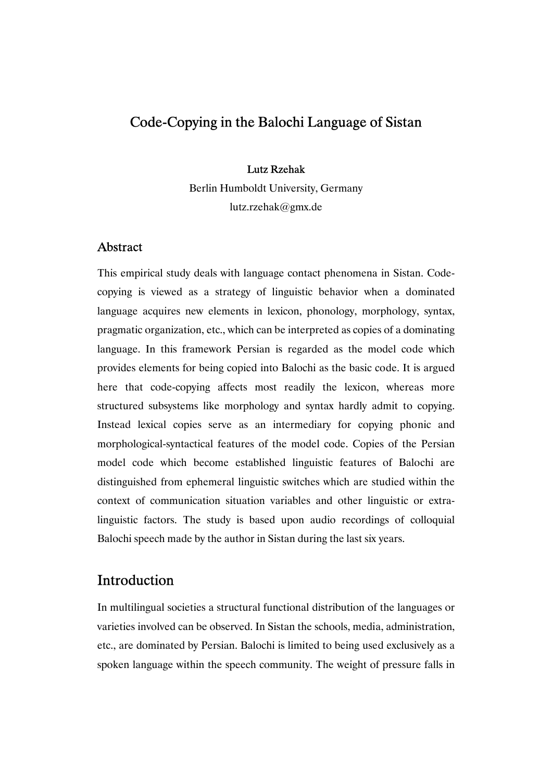# Lutz Rzehak

Berlin Humboldt University, Germany lutz.rzehak@gmx.de

# Abstract

This empirical study deals with language contact phenomena in Sistan. Codecopying is viewed as a strategy of linguistic behavior when a dominated language acquires new elements in lexicon, phonology, morphology, syntax, pragmatic organization, etc., which can be interpreted as copies of a dominating language. In this framework Persian is regarded as the model code which provides elements for being copied into Balochi as the basic code. It is argued here that code-copying affects most readily the lexicon, whereas more structured subsystems like morphology and syntax hardly admit to copying. Instead lexical copies serve as an intermediary for copying phonic and morphological-syntactical features of the model code. Copies of the Persian model code which become established linguistic features of Balochi are distinguished from ephemeral linguistic switches which are studied within the context of communication situation variables and other linguistic or extralinguistic factors. The study is based upon audio recordings of colloquial Balochi speech made by the author in Sistan during the last six years.

# Introduction

In multilingual societies a structural functional distribution of the languages or varieties involved can be observed. In Sistan the schools, media, administration, etc., are dominated by Persian. Balochi is limited to being used exclusively as a spoken language within the speech community. The weight of pressure falls in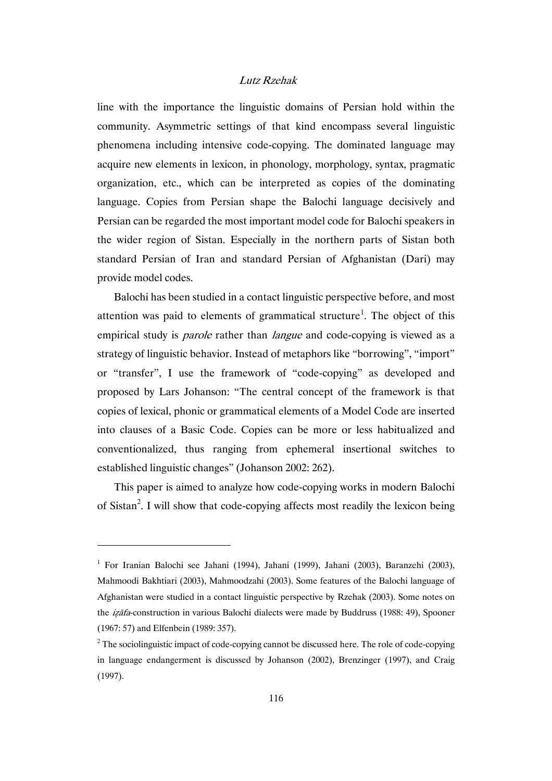line with the importance the linguistic domains of Persian hold within the community. Asymmetric settings of that kind encompass several linguistic phenomena including intensive code-copying. The dominated language may acquire new elements in lexicon, in phonology, morphology, syntax, pragmatic organization, etc., which can be interpreted as copies of the dominating language. Copies from Persian shape the Balochi language decisively and Persian can be regarded the most important model code for Balochi speakers in the wider region of Sistan. Especially in the northern parts of Sistan both standard Persian of Iran and standard Persian of Afghanistan (Dari) may provide model codes.

Balochi has been studied in a contact linguistic perspective before, and most attention was paid to elements of grammatical structure<sup>1</sup>. The object of this empirical study is *parole* rather than *langue* and code-copying is viewed as a strategy of linguistic behavior. Instead of metaphors like "borrowing", "import" or "transfer", I use the framework of "code-copying" as developed and proposed by Lars Johanson: "The central concept of the framework is that copies of lexical, phonic or grammatical elements of a Model Code are inserted into clauses of a Basic Code. Copies can be more or less habitualized and conventionalized, thus ranging from ephemeral insertional switches to established linguistic changes" (Johanson 2002: 262).

This paper is aimed to analyze how code-copying works in modern Balochi of Sistan<sup>2</sup>. I will show that code-copying affects most readily the lexicon being

<sup>&</sup>lt;sup>1</sup> For Iranian Balochi see Jahani (1994), Jahani (1999), Jahani (2003), Baranzehi (2003), Mahmoodi Bakhtiari (2003), Mahmoodzahi (2003). Some features of the Balochi language of Afghanistan were studied in a contact linguistic perspective by Rzehak (2003). Some notes on the *izafa*-construction in various Balochi dialects were made by Buddruss (1988: 49), Spooner (1967: 57) and Elfenbein (1989: 357).

 $2^2$  The sociolinguistic impact of code-copying cannot be discussed here. The role of code-copying in language endangerment is discussed by Johanson (2002), Brenzinger (1997), and Craig (1997).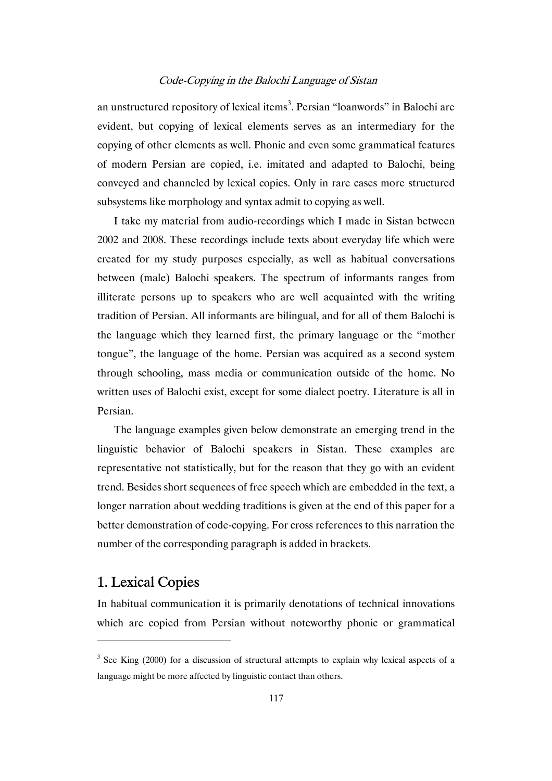an unstructured repository of lexical items<sup>3</sup>. Persian "loanwords" in Balochi are evident, but copying of lexical elements serves as an intermediary for the copying of other elements as well. Phonic and even some grammatical features of modern Persian are copied, i.e. imitated and adapted to Balochi, being conveyed and channeled by lexical copies. Only in rare cases more structured subsystems like morphology and syntax admit to copying as well.

I take my material from audio-recordings which I made in Sistan between 2002 and 2008. These recordings include texts about everyday life which were created for my study purposes especially, as well as habitual conversations between (male) Balochi speakers. The spectrum of informants ranges from illiterate persons up to speakers who are well acquainted with the writing tradition of Persian. All informants are bilingual, and for all of them Balochi is the language which they learned first, the primary language or the "mother tongue", the language of the home. Persian was acquired as a second system through schooling, mass media or communication outside of the home. No written uses of Balochi exist, except for some dialect poetry. Literature is all in Persian.

The language examples given below demonstrate an emerging trend in the linguistic behavior of Balochi speakers in Sistan. These examples are representative not statistically, but for the reason that they go with an evident trend. Besides short sequences of free speech which are embedded in the text, a longer narration about wedding traditions is given at the end of this paper for a better demonstration of code-copying. For cross references to this narration the number of the corresponding paragraph is added in brackets.

# 1. Lexical Copies

 $\overline{a}$ 

In habitual communication it is primarily denotations of technical innovations which are copied from Persian without noteworthy phonic or grammatical

 $3$  See King (2000) for a discussion of structural attempts to explain why lexical aspects of a language might be more affected by linguistic contact than others.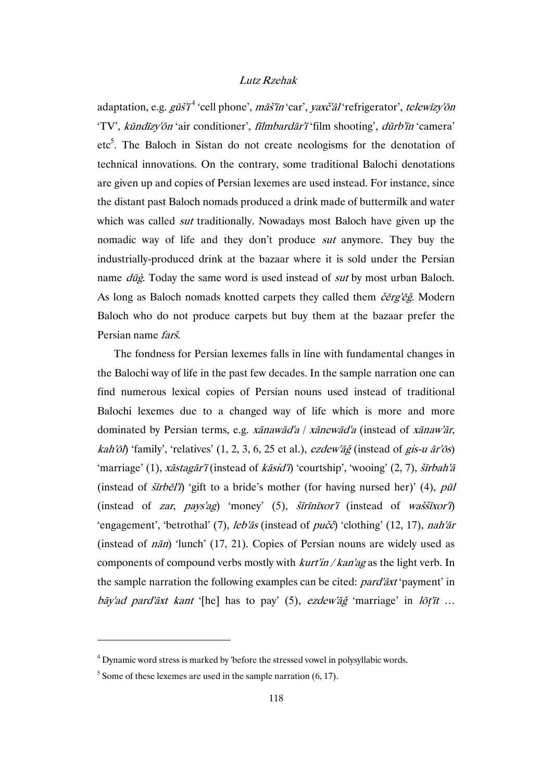adaptation, e.g. *gūš'ī*<sup>4</sup> 'cell phone', *māš'īn* 'car', *yaxč'āl* 'refrigerator', *telewīzy'ōn* 'TV', kūndīzy'ōn 'air conditioner', fīlmbardār'ī 'film shooting', dūrb'īn 'camera' etc<sup>5</sup>. The Baloch in Sistan do not create neologisms for the denotation of technical innovations. On the contrary, some traditional Balochi denotations are given up and copies of Persian lexemes are used instead. For instance, since the distant past Baloch nomads produced a drink made of buttermilk and water which was called *sut* traditionally. Nowadays most Baloch have given up the nomadic way of life and they don't produce sut anymore. They buy the industrially-produced drink at the bazaar where it is sold under the Persian name *dūģ*. Today the same word is used instead of *sut* by most urban Baloch. As long as Baloch nomads knotted carpets they called them čērg'ēğ. Modern Baloch who do not produce carpets but buy them at the bazaar prefer the Persian name farš.

The fondness for Persian lexemes falls in line with fundamental changes in the Balochi way of life in the past few decades. In the sample narration one can find numerous lexical copies of Persian nouns used instead of traditional Balochi lexemes due to a changed way of life which is more and more dominated by Persian terms, e.g. xānawād'a / xānewād'a (instead of xānaw'ār, kah'ōl) 'family', 'relatives'  $(1, 2, 3, 6, 25$  et al.), ezdew' $\tilde{a}\tilde{g}$  (instead of gis-u  $\tilde{a}r$ 'ōs) 'marriage' (1), xāstagār'ī (instead of kāsid'ī) 'courtship', 'wooing' (2, 7), šīrbah'ā (instead of  $\delta \vec{r}$  b)  $\epsilon$  'gift to a bride's mother (for having nursed her)' (4), pul (instead of *zar*, *pays'ag*) 'money' (5),  $\overline{\text{Sirinixor'1}}$  (instead of *wassixor'i*) 'engagement', 'betrothal' (7), leb'ās (instead of pučč) 'clothing' (12, 17), nah'ār (instead of nān) 'lunch' (17, 21). Copies of Persian nouns are widely used as components of compound verbs mostly with  $kurt'in / kan'ag$  as the light verb. In the sample narration the following examples can be cited: *pard'axt* 'payment' in bāy'ad pard'āxt kant '[he] has to pay'  $(5)$ , ezdew'āg 'marriage' in lõt'īt ...

<sup>&</sup>lt;sup>4</sup> Dynamic word stress is marked by 'before the stressed vowel in polysyllabic words.

 $<sup>5</sup>$  Some of these lexemes are used in the sample narration (6, 17).</sup>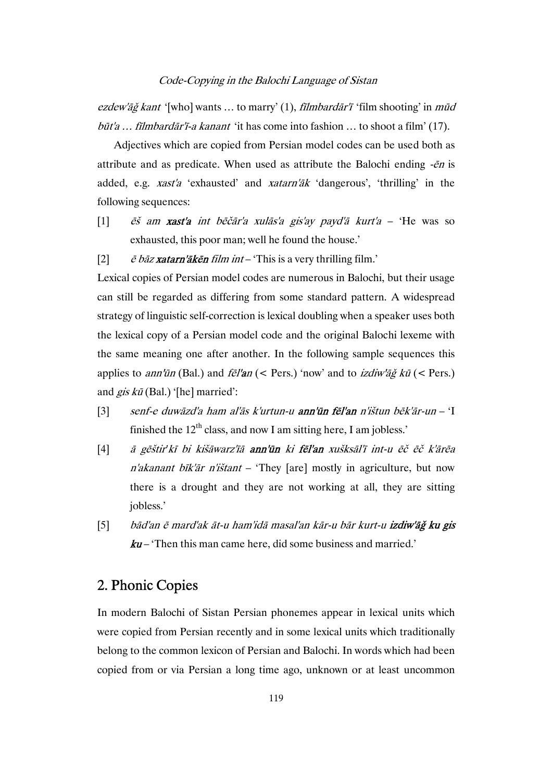ezdew'āǧ kant '[who] wants ... to marry'  $(1)$ , *filmbardār'ī* 'film shooting' in mūd būt'a ... filmbardār'ī-a kanant 'it has come into fashion ... to shoot a film' (17).

Adjectives which are copied from Persian model codes can be used both as attribute and as predicate. When used as attribute the Balochi ending -ēn is added, e.g. xast'a 'exhausted' and xatarn'āk 'dangerous', 'thrilling' in the following sequences:

- [1]  $\tilde{e}$ s am xast'a int bēčār'a xulās'a gis'ay payd'ā kurt'a 'He was so exhausted, this poor man; well he found the house.'
- [2]  $\vec{e}$  bāz xatarn'ākēn film int 'This is a very thrilling film.'

Lexical copies of Persian model codes are numerous in Balochi, but their usage can still be regarded as differing from some standard pattern. A widespread strategy of linguistic self-correction is lexical doubling when a speaker uses both the lexical copy of a Persian model code and the original Balochi lexeme with the same meaning one after another. In the following sample sequences this applies to *ann'ūn* (Bal.) and  $f\bar{e}$ *l'an* (< Pers.) 'now' and to *izdiw'āğ kū* (< Pers.) and  $\mathbf{g}$ is  $k\bar{u}$  (Bal.) '[he] married':

- [3] senf-e duwāzd'a ham al'ās k'urtun-u ann'ūn fēl'an n'ištun bēk'ār-un 'I finished the  $12<sup>th</sup>$  class, and now I am sitting here, I am jobless.'
- [4] ā gēštir*'*kī bi kišāwarz'īā ann'ūn ki fēl'an xušksāl'ī int-u ēč ēč k'ārēa  $n'$ akanant bīk'ār n'ištant – 'They [are] mostly in agriculture, but now there is a drought and they are not working at all, they are sitting jobless.'
- [5] bād'an ē mard'ak āt-u ham'idā masal'an kār-u bār kurt-u izdiw'āğ ku gis  $ku$  – 'Then this man came here, did some business and married.'

# 2. Phonic Copies

In modern Balochi of Sistan Persian phonemes appear in lexical units which were copied from Persian recently and in some lexical units which traditionally belong to the common lexicon of Persian and Balochi. In words which had been copied from or via Persian a long time ago, unknown or at least uncommon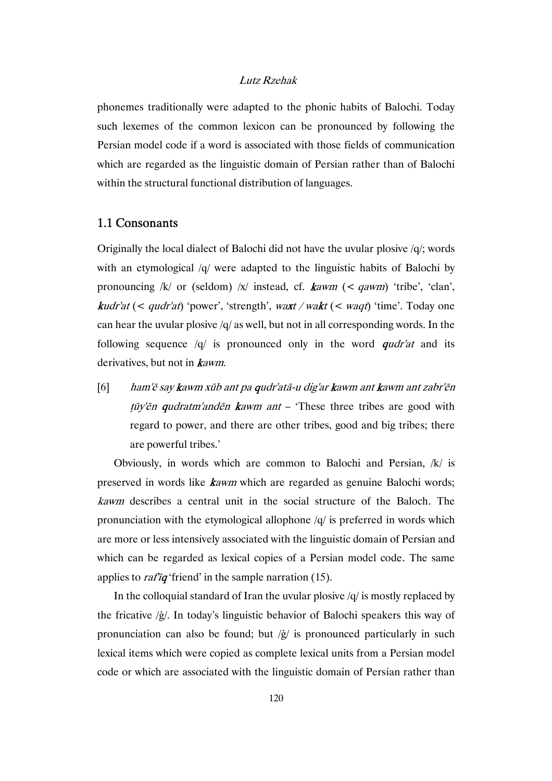phonemes traditionally were adapted to the phonic habits of Balochi. Today such lexemes of the common lexicon can be pronounced by following the Persian model code if a word is associated with those fields of communication which are regarded as the linguistic domain of Persian rather than of Balochi within the structural functional distribution of languages.

# 1.1 Consonants

Originally the local dialect of Balochi did not have the uvular plosive  $q$ ; words with an etymological /q/ were adapted to the linguistic habits of Balochi by pronouncing  $/k/$  or (seldom)  $/x/$  instead, cf. **k**awm (< qawm) 'tribe', 'clan', **k**udr'at (< qudr'at) 'power', 'strength', waxt / wakt (< waqt) 'time'. Today one can hear the uvular plosive /q/ as well, but not in all corresponding words. In the following sequence  $\sqrt{q}$  is pronounced only in the word *qudr'at* and its derivatives, but not in **k**awm.

[6] ham'ē say kawm xūb ant pa qudr'atā-u dig'ar kawm ant kawm ant zabr'ēn  $t\bar{u}y'$ *en qudratm'anden kawm ant* – 'These three tribes are good with regard to power, and there are other tribes, good and big tribes; there are powerful tribes.'

Obviously, in words which are common to Balochi and Persian, /k/ is preserved in words like kawm which are regarded as genuine Balochi words; kawm describes a central unit in the social structure of the Baloch. The pronunciation with the etymological allophone /q/ is preferred in words which are more or less intensively associated with the linguistic domain of Persian and which can be regarded as lexical copies of a Persian model code. The same applies to *rafiq* 'friend' in the sample narration  $(15)$ .

In the colloquial standard of Iran the uvular plosive  $/q$  is mostly replaced by the fricative /ġ/. In today's linguistic behavior of Balochi speakers this way of pronunciation can also be found; but  $\chi$  is pronounced particularly in such lexical items which were copied as complete lexical units from a Persian model code or which are associated with the linguistic domain of Persian rather than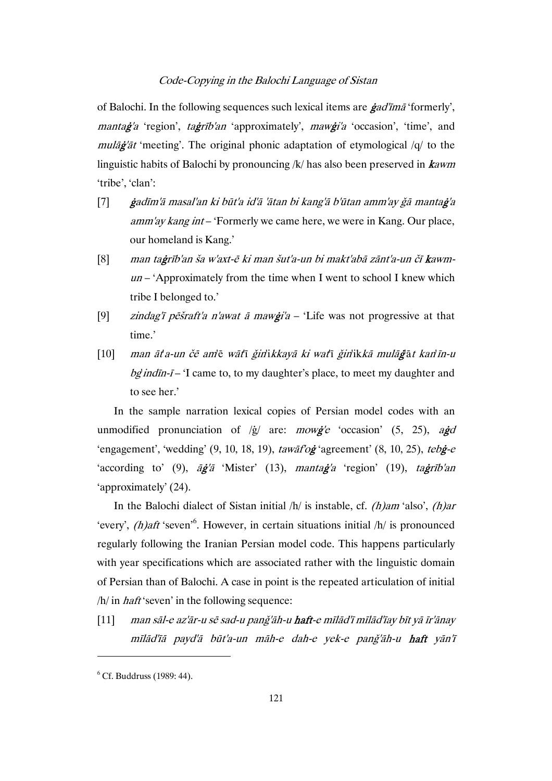of Balochi. In the following sequences such lexical items are  $\dot{\rho}$  ad' $\dot{\rho}$  formerly', manta**ġ**'a 'region', ta**ġ**rīb'an 'approximately', maw**ġ**i'a 'occasion', 'time', and mulāġ'āt 'meeting'. The original phonic adaptation of etymological /q/ to the linguistic habits of Balochi by pronouncing  $/k$  has also been preserved in **k**awm 'tribe', 'clan':

- [7] ġadīm'ā masal'an ki būt'a id'ā 'ātan bi kang'ā b'ūtan amm'ay ǧā mantaġ'a amm'ay kang int – 'Formerly we came here, we were in Kang. Our place, our homeland is Kang.'
- [8] man taġrīb'an ša w'axt-ē ki man šut'a-un bi makt'abā zānt'a-un čī kawm $un$  – 'Approximately from the time when I went to school I knew which tribe I belonged to.'
- [9] *zindag'ī pēšraft'a n'awat ā mawģi'a* 'Life was not progressive at that time.'
- [10] man āt'a-un čē am'ē wāt'ī ǧin'ikkayā ki wat'ī ǧin'ikkā mulāġ'ā<sup>t</sup> kan'īn-u bg indin- $i$ – 'I came to, to my daughter's place, to meet my daughter and to see her.'

In the sample narration lexical copies of Persian model codes with an unmodified pronunciation of  $\langle \dot{g} \rangle$  are: *mowg'e* 'occasion' (5, 25), agd 'engagement', 'wedding'  $(9, 10, 18, 19)$ , tawāf'og 'agreement'  $(8, 10, 25)$ , tebg-e 'according to' (9),  $\bar{a}\bar{g}'\bar{a}$  'Mister' (13), manta $\bar{g}'a$  'region' (19), ta $\bar{g}r\bar{i}b'an$ 'approximately' (24).

In the Balochi dialect of Sistan initial  $/h/$  is instable, cf. *(h)am* 'also', *(h)ar* 'every',  $(h)$ aft 'seven'<sup>6</sup>. However, in certain situations initial  $/h/$  is pronounced regularly following the Iranian Persian model code. This happens particularly with year specifications which are associated rather with the linguistic domain of Persian than of Balochi. A case in point is the repeated articulation of initial  $/h/$  in *haft* 'seven' in the following sequence:

[11] man sāl-e az'ār-u sē sad-u panǧ'āh-u haft-e mīlād'ī mīlād'īay bīt yā īr'ānay mīlād'īā payd'ā būt'a-un māh-e dah-e yek-e panǧ'āh-u haft yān'ī

 $<sup>6</sup>$  Cf. Buddruss (1989: 44).</sup>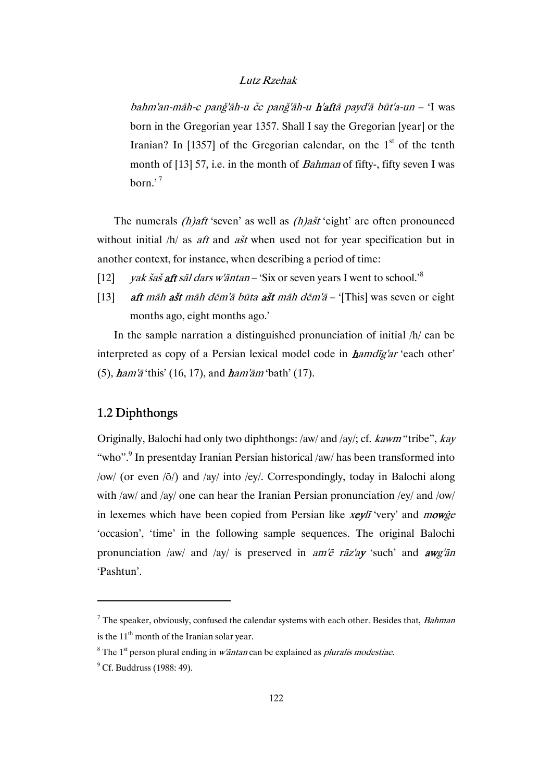bahm'an-māh-e panǧ'āh-u če panǧ'āh-u h'aftā payd'ā būt'a-un – 'I was born in the Gregorian year 1357. Shall I say the Gregorian [year] or the Iranian? In [1357] of the Gregorian calendar, on the  $1<sup>st</sup>$  of the tenth month of [13] 57, i.e. in the month of *Bahman* of fifty-, fifty seven I was born.'<sup>7</sup>

The numerals  $(h)$ aft 'seven' as well as  $(h)$ ašt 'eight' are often pronounced without initial  $/h/$  as *aft* and *ašt* when used not for year specification but in another context, for instance, when describing a period of time:

- [12] *yak šaš aft sāl dars w'āntan* 'Six or seven years I went to school.'<sup>8</sup>
- [13] aft māh ašt māh dēm'ā būta ašt māh dēm'ā '[This] was seven or eight months ago, eight months ago.'

In the sample narration a distinguished pronunciation of initial /h/ can be interpreted as copy of a Persian lexical model code in *hamdig'ar* 'each other' (5),  $ham'_{\bar{a}}$  'this' (16, 17), and  $ham'_{\bar{a}}$  'bath' (17).

# 1.2 Diphthongs

Originally, Balochi had only two diphthongs: /aw/ and /ay/; cf. kawm "tribe", kay "who".<sup>9</sup> In presentday Iranian Persian historical /aw/ has been transformed into /ow/ (or even /ō/) and /ay/ into /ey/. Correspondingly, today in Balochi along with /aw/ and /ay/ one can hear the Iranian Persian pronunciation /ey/ and /ow/ in lexemes which have been copied from Persian like *xeylī* 'very' and *mowge* 'occasion', 'time' in the following sample sequences. The original Balochi pronunciation /aw/ and /ay/ is preserved in  $am' \ddot{\epsilon}$  rāz'ay 'such' and  $awg' \ddot{a}n$ 'Pashtun'.

<sup>&</sup>lt;sup>7</sup> The speaker, obviously, confused the calendar systems with each other. Besides that, *Bahman* is the  $11<sup>th</sup>$  month of the Iranian solar year.

<sup>&</sup>lt;sup>8</sup> The 1<sup>st</sup> person plural ending in *w'āntan* can be explained as *pluralis modestiae*.

 $<sup>9</sup>$  Cf. Buddruss (1988: 49).</sup>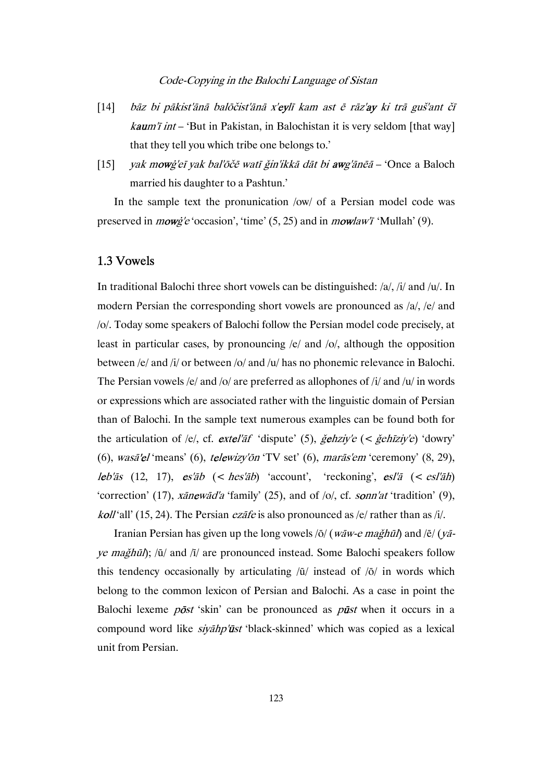- [14] bāz bi pākist'ānā balōčist'ānā x'eylī kam ast ē rāz'ay ki trā guš'ant čī *kaum'i int* – 'But in Pakistan, in Balochistan it is very seldom [that way] that they tell you which tribe one belongs to.'
- [15] *yak mowġ'eī yak bal'ōčē watī ǧin'ikkā dāt bi awg'ānēā* 'Once a Baloch married his daughter to a Pashtun.'

In the sample text the pronunication /ow/ of a Persian model code was preserved in *mowg'e* 'occasion', 'time' (5, 25) and in *mowlaw'i* 'Mullah' (9).

# 1.3 Vowels

In traditional Balochi three short vowels can be distinguished: /a/, /i/ and /u/. In modern Persian the corresponding short vowels are pronounced as /a/, /e/ and /o/. Today some speakers of Balochi follow the Persian model code precisely, at least in particular cases, by pronouncing /e/ and /o/, although the opposition between /e/ and /i/ or between /o/ and /u/ has no phonemic relevance in Balochi. The Persian vowels /e/ and /o/ are preferred as allophones of /i/ and /u/ in words or expressions which are associated rather with the linguistic domain of Persian than of Balochi. In the sample text numerous examples can be found both for the articulation of /e/, cf. *extel'af* 'dispute' (5),  $\check{g}$ *ehziy'e* (<  $\check{g}$ *ehīziy'e*) 'dowry' (6), wasā'el 'means' (6), telewizy'ōn 'TV set' (6), marās'em 'ceremony' (8, 29), leb'ās (12, 17), es'āb  $\langle$  hes'āb) 'account', 'reckoning', esl'ā  $\langle$  esl'āh) 'correction' (17),  $x\bar{a}new\bar{a}d'a$  'family' (25), and of /o/, cf. sonn'at 'tradition' (9), *koll* 'all' (15, 24). The Persian *ezate* is also pronounced as /e/ rather than as /i/.

Iranian Persian has given up the long vowels  $\overline{\rho}/(\overline{waw-e} \text{ majh\bar{u}})$  and  $\overline{\rho}/(\overline{v}\bar{a}$ ye maǧhūl); /ū/ and /ī/ are pronounced instead. Some Balochi speakers follow this tendency occasionally by articulating  $\overline{u}/$  instead of  $\overline{o}/$  in words which belong to the common lexicon of Persian and Balochi. As a case in point the Balochi lexeme  $p\bar{o}st$  'skin' can be pronounced as  $p\bar{u}st$  when it occurs in a compound word like *siyahp'ūst* 'black-skinned' which was copied as a lexical unit from Persian.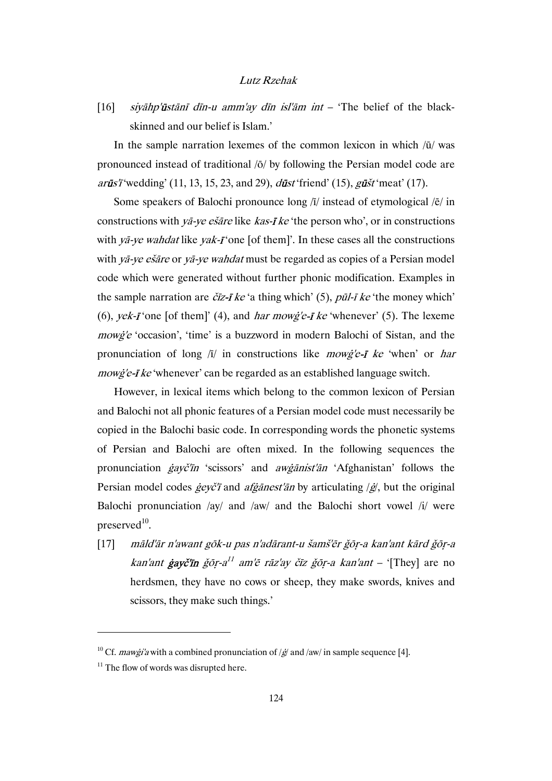[16] siyāhp'ūstānī dīn-u amm'ay dīn isl'ām int – 'The belief of the blackskinned and our belief is Islam.'

In the sample narration lexemes of the common lexicon in which  $\overline{u}/$  was pronounced instead of traditional /ō/ by following the Persian model code are  $ar\bar{u}s'$  is "wedding' (11, 13, 15, 23, and 29),  $d\bar{u}s'$  friend' (15),  $g\bar{u}s'$  meat' (17).

Some speakers of Balochi pronounce long  $\overline{I}/I$  instead of etymological  $\overline{I}/I$  in constructions with ya-ye esare like kas- $\vec{I}$  ke 'the person who', or in constructions with  $y\bar{a}$ -ye wahdat like yak- $\bar{i}$  one [of them]'. In these cases all the constructions with yā-ye ešāre or yā-ye wahdat must be regarded as copies of a Persian model code which were generated without further phonic modification. Examples in the sample narration are  $\tilde{c}$ *iz*-*i* ke 'a thing which' (5), *pūl-i ke* 'the money which' (6), yek- $\vec{I}$  'one [of them]' (4), and *har mowg'e-* $\vec{I}$  *ke* 'whenever' (5). The lexeme mowġ'e 'occasion', 'time' is a buzzword in modern Balochi of Sistan, and the pronunciation of long  $\overline{a}$  in constructions like *mowg'e-i ke* 'when' or *har* mowg'e-*I* ke 'whenever' can be regarded as an established language switch.

However, in lexical items which belong to the common lexicon of Persian and Balochi not all phonic features of a Persian model code must necessarily be copied in the Balochi basic code. In corresponding words the phonetic systems of Persian and Balochi are often mixed. In the following sequences the pronunciation ġayč'īn 'scissors' and awġānist'ān 'Afghanistan' follows the Persian model codes  $\dot{g}e\gamma\dot{c}$  and  $\dot{a}f\dot{g}\dot{a}nest'\ddot{a}n$  by articulating  $\dot{g}$ , but the original Balochi pronunciation /ay/ and /aw/ and the Balochi short vowel /i/ were preserved $10$ .

[17] māld'ār n'awant gōk-u pas n'adārant-u šamš'ēr ǧōṛ-a kan'ant kārd ǧōṛ-a kan'ant **ġayč'īn** ǧōr-a<sup>11</sup> am'ē rāz'ay čīz ǧōr-a kan'ant – '[They] are no herdsmen, they have no cows or sheep, they make swords, knives and scissors, they make such things.'

<sup>&</sup>lt;sup>10</sup> Cf. *mawġi'a* with a combined pronunciation of  $/\cancel{g}$  and  $/\text{aw}/$  in sample sequence [4].

 $11$  The flow of words was disrupted here.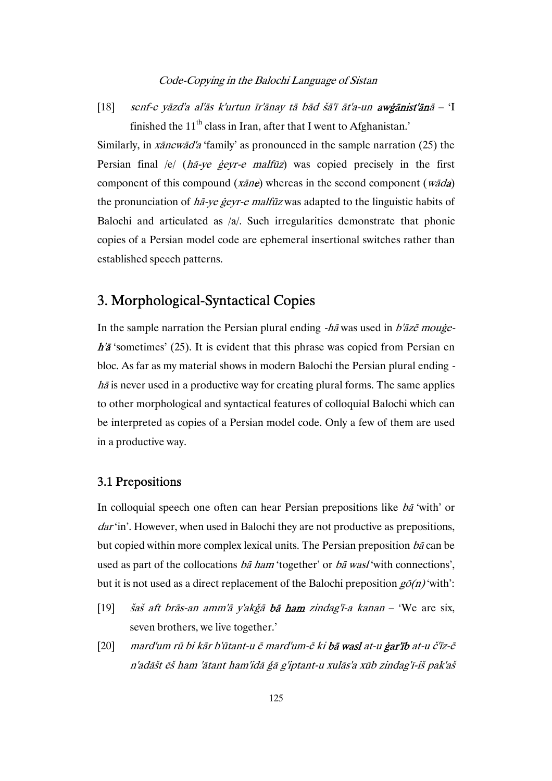[18] senf-e yāzd'a al'ās k'urtun īr'ānay tā bād šā'ī āt'a-un awġānist'ānā – 'I finished the  $11<sup>th</sup>$  class in Iran, after that I went to Afghanistan.'

Similarly, in xānewād'a 'family' as pronounced in the sample narration (25) the Persian final /e/ (hā-ye geyr-e malfūz) was copied precisely in the first component of this compound ( $x\bar{a}n\epsilon$ ) whereas in the second component ( $w\bar{a}d\mathbf{a}$ ) the pronunciation of ha-ye geyr-e malfuz was adapted to the linguistic habits of Balochi and articulated as /a/. Such irregularities demonstrate that phonic copies of a Persian model code are ephemeral insertional switches rather than established speech patterns.

# 3. Morphological-Syntactical Copies

In the sample narration the Persian plural ending  $-h\bar{a}$  was used in  $b'\bar{a}z\bar{e}$  mouge $h'\bar{a}$  'sometimes' (25). It is evident that this phrase was copied from Persian en bloc. As far as my material shows in modern Balochi the Persian plural ending  $h\bar{a}$  is never used in a productive way for creating plural forms. The same applies to other morphological and syntactical features of colloquial Balochi which can be interpreted as copies of a Persian model code. Only a few of them are used in a productive way.

# 3.1 Prepositions

In colloquial speech one often can hear Persian prepositions like bā 'with' or dar'in'. However, when used in Balochi they are not productive as prepositions, but copied within more complex lexical units. The Persian preposition bā can be used as part of the collocations ba ham 'together' or ba wasl 'with connections', but it is not used as a direct replacement of the Balochi preposition  $g\bar{o}(n)$  'with':

- [19] *šaš aft brās-an amm'ā y'akǧā bā ham zindag'ī-a kanan* 'We are six, seven brothers, we live together.'
- [20] mard'um rū bi kār b'ūtant-u ē mard'um-ē ki bā wasl at-u ġar'īb at-u č'īz-ē n'adāšt ēš ham 'ātant ham'idā ǧā g'iptant-u xulās'a xūb zindag'ī-iš pak'aš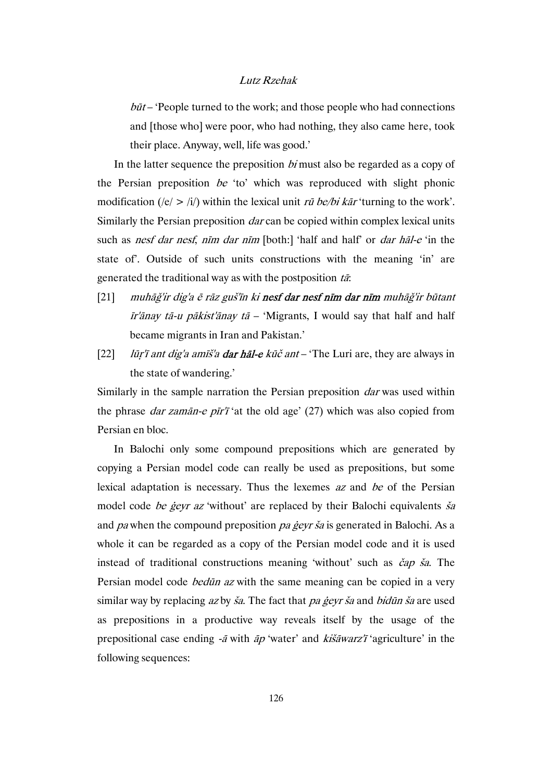$b\bar{u}t$  – 'People turned to the work; and those people who had connections and [those who] were poor, who had nothing, they also came here, took their place. Anyway, well, life was good.'

In the latter sequence the preposition *bi* must also be regarded as a copy of the Persian preposition be 'to' which was reproduced with slight phonic modification (/e/ > /i/) within the lexical unit  $r\bar{u}$  be/bi kar 'turning to the work'. Similarly the Persian preposition *dar* can be copied within complex lexical units such as *nesf dar nesf, nīm dar nīm* [both:] 'half and half' or *dar hāl-e* 'in the state of'. Outside of such units constructions with the meaning 'in' are generated the traditional way as with the postposition  $t\bar{a}$ :

- [21] muhāǧ'ir dig'a ē rāz guš'īn ki nesf dar nesf nīm dar nīm muhāǧ'ir būtant  $\bar{I}$ r'ānay tā-u pākist'ānay tā – 'Migrants, I would say that half and half became migrants in Iran and Pakistan.'
- [22] *lūr'ī ant dig'a amīš'a dar hāl-e kūč ant* 'The Luri are, they are always in the state of wandering.'

Similarly in the sample narration the Persian preposition *dar* was used within the phrase *dar zamān-e pīr'ī* 'at the old age'  $(27)$  which was also copied from Persian en bloc.

In Balochi only some compound prepositions which are generated by copying a Persian model code can really be used as prepositions, but some lexical adaptation is necessary. Thus the lexemes az and be of the Persian model code be geyr az 'without' are replaced by their Balochi equivalents sa and pa when the compound preposition pa gevr ša is generated in Balochi. As a whole it can be regarded as a copy of the Persian model code and it is used instead of traditional constructions meaning 'without' such as čap ša. The Persian model code *bedūn az* with the same meaning can be copied in a very similar way by replacing  $az$  by  $\check{s}a$ . The fact that pa geyr  $\check{s}a$  and bidun  $\check{s}a$  are used as prepositions in a productive way reveals itself by the usage of the prepositional case ending  $-\bar{a}$  with  $\bar{a}p$  'water' and kis $\bar{a}w$ arz'i 'agriculture' in the following sequences: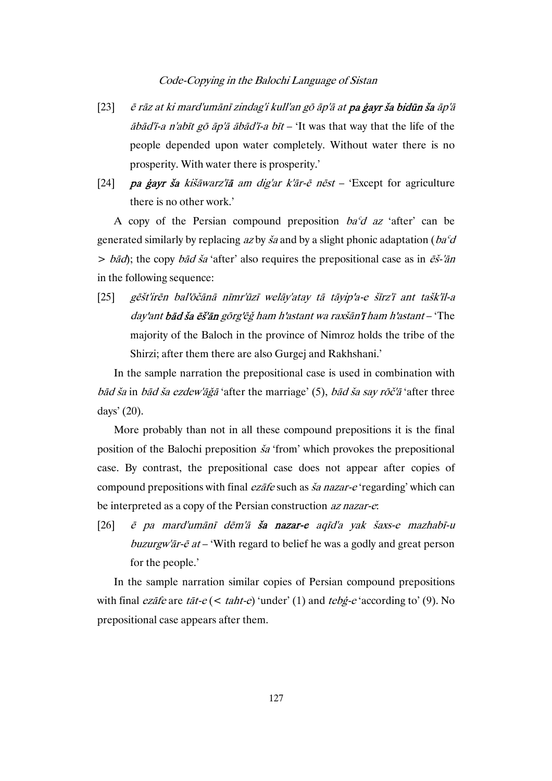- [23]  $\tilde{e}$  rāz at ki mard'umānī zindag'i kull'an gō āp'ā at pa ģayr ša bidūn ša āp'ā  $\bar{a}b\bar{a}d'\bar{a}$  an'abīt gō  $\bar{a}p'\bar{a}$   $\bar{a}b\bar{a}d'\bar{a}$  a  $\bar{b}\bar{a}t$  – 'It was that way that the life of the people depended upon water completely. Without water there is no prosperity. With water there is prosperity.'
- [24] **pa ģayr ša** kišāwarz'ī**ā** am dig'ar k'ār-ē nēst 'Except for agriculture there is no other work.'

A copy of the Persian compound preposition  $ba^{\circ}d$  az 'after' can be generated similarly by replacing az by  $\check{s}a$  and by a slight phonic adaptation ( $ba^{\circ}d$ )  $> b\bar{a}d$ ; the copy  $b\bar{a}d\bar{a}$  'after' also requires the prepositional case as in  $\bar{e}\bar{s}$ -' $\bar{a}n$ in the following sequence:

[25] gēšt'irēn bal'ōčānā nīmr'ūzī welāy'atay tā tāyip'a-e šīrz'ī ant tašk'īl-a day'ant bād ša ēš'ān gōrg'ēğ ham h'astant wa raxšān'ī ham h'astant – 'The majority of the Baloch in the province of Nimroz holds the tribe of the Shirzi; after them there are also Gurgej and Rakhshani.'

In the sample narration the prepositional case is used in combination with bād ša in bād ša ezdew'āgā 'after the marriage' (5), bād ša say rōč'ā 'after three days' (20).

More probably than not in all these compound prepositions it is the final position of the Balochi preposition ša 'from' which provokes the prepositional case. By contrast, the prepositional case does not appear after copies of compound prepositions with final ezāfe such as ša nazar-e 'regarding' which can be interpreted as a copy of the Persian construction az nazar-e:

[26] ē pa mard'umānī dēm'ā ša nazar-e aqīd'a yak šaxs-e mazhabī-u buzurgw'ar- $\bar{e}$  at – 'With regard to belief he was a godly and great person for the people.'

In the sample narration similar copies of Persian compound prepositions with final *ezafe* are *tat-e* (< *taht-e*) 'under' (1) and *tebg-e* 'according to' (9). No prepositional case appears after them.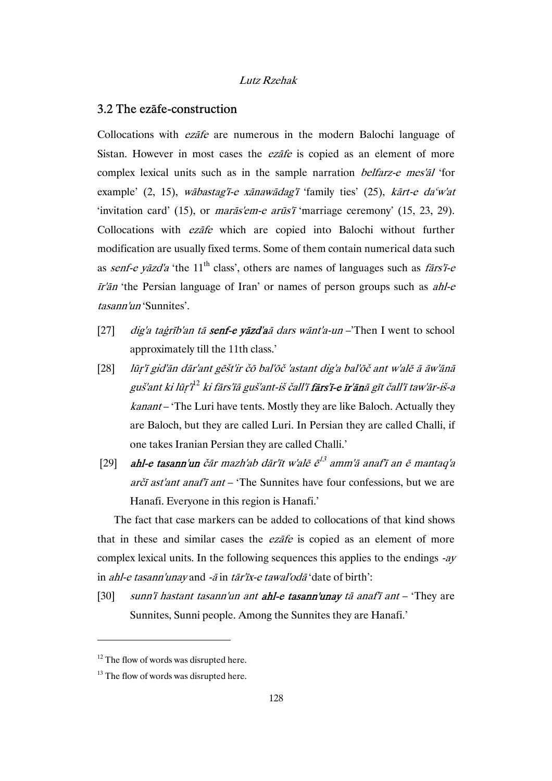# 3.2 The ezāfe-construction

Collocations with ezāfe are numerous in the modern Balochi language of Sistan. However in most cases the *ezate* is copied as an element of more complex lexical units such as in the sample narration belfarz-e mes'āl 'for example' (2, 15), wābastag'ī-e xānawādag'ī 'family ties' (25), kārt-e daʿw'at 'invitation card' (15), or marās'em-e arūs'ī 'marriage ceremony' (15, 23, 29). Collocations with ezāfe which are copied into Balochi without further modification are usually fixed terms. Some of them contain numerical data such as senf-e yāzd'a 'the  $11<sup>th</sup>$  class', others are names of languages such as  $f\overline{a}rs'$ *i*-e  $\bar{I}r'$ än 'the Persian language of Iran' or names of person groups such as ahl-e tasann'un 'Sunnites'.

- [27] dig'a tagrīb'an tā **senf-e vāzd'a**ā dars wānt'a-un –'Then I went to school approximately till the 11th class.'
- [28] lūṛ'ī gid'ān dār'ant gēšt'ir čō bal'ōč 'astant dig'a bal'ōč ant w'alē ā āw'ānā guš'ant ki lūṛ'ī12 ki fārs'īā guš'ant-iš čall'ī fārs'ī-e īr'ānā gīt čall'ī taw'ār-iš-a kanant – 'The Luri have tents. Mostly they are like Baloch. Actually they are Baloch, but they are called Luri. In Persian they are called Challi, if one takes Iranian Persian they are called Challi.'
- [29] **ahl-e tasann'un** čār mazh'ab dār'īt w'alē  $\bar{e}^{13}$  amm'ā anaf'ī an  $\bar{e}$  mantaq'a arčī ast'ant anaf'ī ant – 'The Sunnites have four confessions, but we are Hanafi. Everyone in this region is Hanafi.'

The fact that case markers can be added to collocations of that kind shows that in these and similar cases the *ezate* is copied as an element of more complex lexical units. In the following sequences this applies to the endings -ay in ahl-e tasann'unay and -ā in tār'īx-e tawal'odā 'date of birth':

[30] sunn'i hastant tasann'un ant **ahl-e tasann'unay** tā anaf'i ant – 'They are Sunnites, Sunni people. Among the Sunnites they are Hanafi.'

 $12$  The flow of words was disrupted here.

 $13$  The flow of words was disrupted here.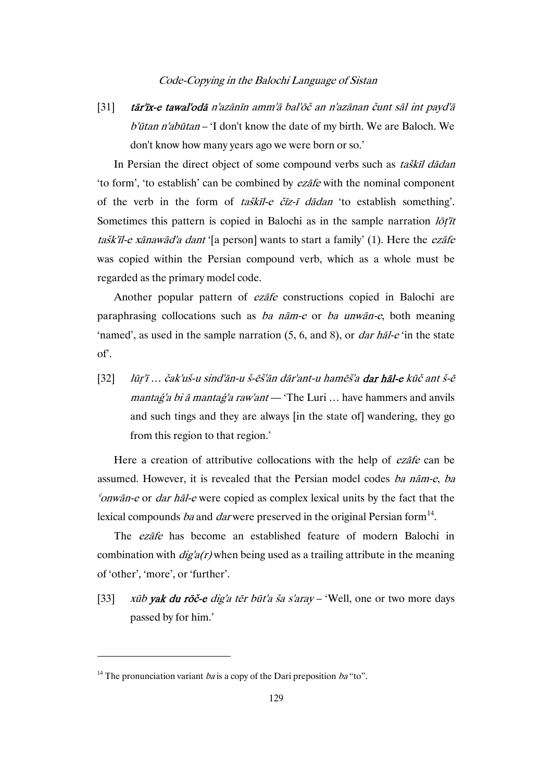[31] tār'īx-e tawal'odā n'azānīn amm'ā bal'ōč an n'azānan čunt sāl int payd'ā b'ūtan n'abūtan – 'I don't know the date of my birth. We are Baloch. We don't know how many years ago we were born or so.'

In Persian the direct object of some compound verbs such as taškīl dādan 'to form', 'to establish' can be combined by ezāfe with the nominal component of the verb in the form of *taškīl-e čīz-ī dādan* 'to establish something'. Sometimes this pattern is copied in Balochi as in the sample narration  $I\ddot{\sigma}t'$ tašk'īl-e xānawād'a dant '[a person] wants to start a family' (1). Here the ezāfe was copied within the Persian compound verb, which as a whole must be regarded as the primary model code.

Another popular pattern of *ezāfe* constructions copied in Balochi are paraphrasing collocations such as ba nām-e or ba unwān-e, both meaning 'named', as used in the sample narration  $(5, 6, \text{ and } 8)$ , or *dar hal-e* 'in the state of'.

[32] lūṛ'ī … čak'uš-u sind'ān-u š-ēš'ān dār'ant-u hamēš'a dar hāl-e kūč ant š-ē mantag'a bi ā mantag'a raw'ant — 'The Luri ... have hammers and anvils and such tings and they are always [in the state of] wandering, they go from this region to that region.'

Here a creation of attributive collocations with the help of ezāfe can be assumed. However, it is revealed that the Persian model codes ba nām-e, ba  $\epsilon$ <sup>o</sup>nwān-e or *dar hāl-e* were copied as complex lexical units by the fact that the lexical compounds ba and darwere preserved in the original Persian form<sup>14</sup>.

The ezāfe has become an established feature of modern Balochi in combination with  $\frac{diq}{a(r)}$  when being used as a trailing attribute in the meaning of 'other', 'more', or 'further'.

[33] xūb yak du rōč-e dig'a tēr būt'a ša s'aray – 'Well, one or two more days passed by for him.'

<sup>&</sup>lt;sup>14</sup> The pronunciation variant *ba* is a copy of the Dari preposition *ba* "to".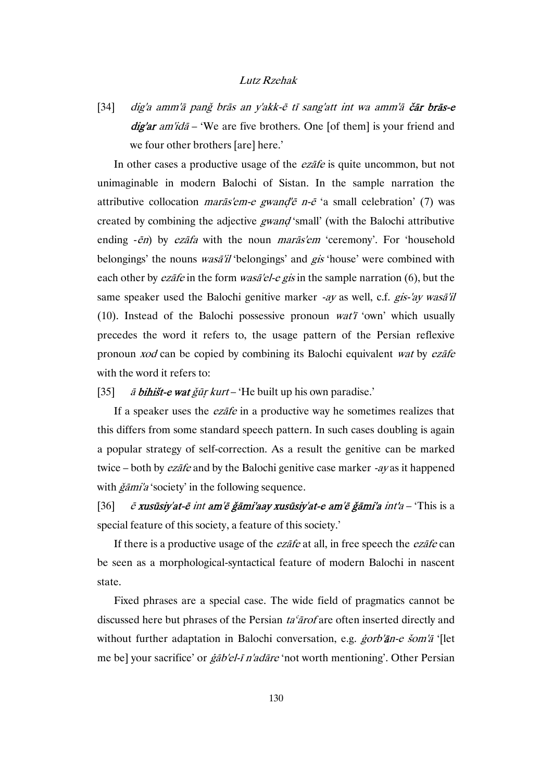[34] dig'a amm'ā pang brās an y'akk-ē tī sang'att int wa amm'ā čār brās-e  $d\vec{g}$ ar am'ida – 'We are five brothers. One [of them] is your friend and we four other brothers [are] here.'

In other cases a productive usage of the *ezāfe* is quite uncommon, but not unimaginable in modern Balochi of Sistan. In the sample narration the attributive collocation *marās'em-e gwand'ē n-ē* 'a small celebration' (7) was created by combining the adjective *gwand* 'small' (with the Balochi attributive ending  $-\bar{e}n$ ) by *ezāfa* with the noun *marās'em* 'ceremony'. For 'household belongings' the nouns *wasā'il* 'belongings' and *gis* 'house' were combined with each other by *ezāfe* in the form *wasā'el-e gis* in the sample narration (6), but the same speaker used the Balochi genitive marker -ay as well, c.f. gis-'ay wasa'il (10). Instead of the Balochi possessive pronoun  $wat'$  'own' which usually precedes the word it refers to, the usage pattern of the Persian reflexive pronoun xod can be copied by combining its Balochi equivalent wat by ezāfe with the word it refers to:

#### [35]  $\vec{a}$  bihišt-e wat ğūr kurt – 'He built up his own paradise.'

If a speaker uses the *ezāfe* in a productive way he sometimes realizes that this differs from some standard speech pattern. In such cases doubling is again a popular strategy of self-correction. As a result the genitive can be marked twice – both by *ezāfe* and by the Balochi genitive case marker *-ay* as it happened with  $\check{g}$ *ami'a* 'society' in the following sequence.

[36]  $\bar{e}$  xusūsiy'at-ē int am'ē ǧāmi'aay xusūsiy'at-e am'ē ǧāmi'a int'a – 'This is a special feature of this society, a feature of this society.'

If there is a productive usage of the *ezafe* at all, in free speech the *ezafe* can be seen as a morphological-syntactical feature of modern Balochi in nascent state.

Fixed phrases are a special case. The wide field of pragmatics cannot be discussed here but phrases of the Persian ta<sup>c</sup>arof are often inserted directly and without further adaptation in Balochi conversation, e.g. *ġorb'ān-e šom'ā* '[let me be] your sacrifice' or ġāb'el-ī n'adāre 'not worth mentioning'. Other Persian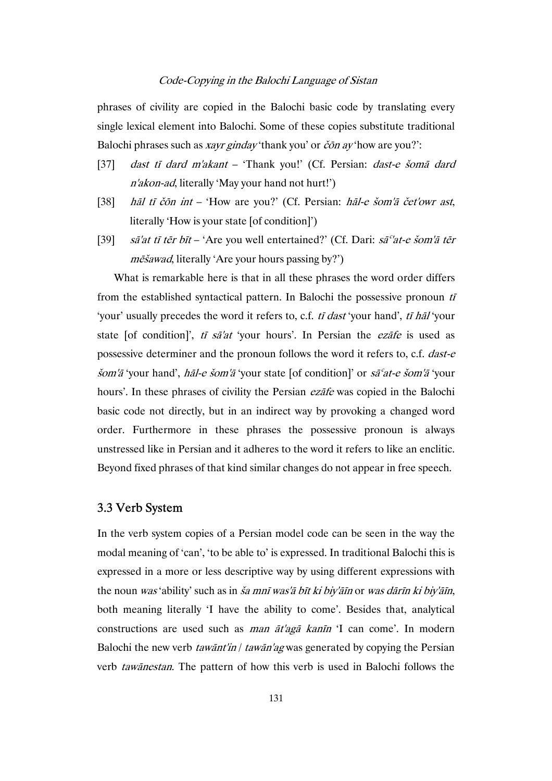phrases of civility are copied in the Balochi basic code by translating every single lexical element into Balochi. Some of these copies substitute traditional Balochi phrases such as *xayr ginday* 'thank you' or *čōn ay* 'how are you?':

- [37] dast tī dard m'akant 'Thank you!' (Cf. Persian: dast-e šomā dard <sup>n</sup>'akon-ad, literally 'May your hand not hurt!')
- [38] hāl tī čōn int 'How are you?' (Cf. Persian: hāl-e šom'ā čet'owr ast, literally 'How is your state [of condition]')
- [39] sā'at tī tēr bīt 'Are you well entertained?' (Cf. Dari: sā<sup>c'</sup>at-e šom'ā tēr mēšawad, literally 'Are your hours passing by?')

What is remarkable here is that in all these phrases the word order differs from the established syntactical pattern. In Balochi the possessive pronoun  $t\bar{t}$ 'your' usually precedes the word it refers to, c.f. tī dast 'your hand', tī hāl 'your state [of condition]', tī sā'at 'your hours'. In Persian the ezāfe is used as possessive determiner and the pronoun follows the word it refers to, c.f. dast-e šom'ā 'your hand', hāl-e šom'ā 'your state [of condition]' or sāʿat-e šom'ā 'your hours'. In these phrases of civility the Persian ezāfe was copied in the Balochi basic code not directly, but in an indirect way by provoking a changed word order. Furthermore in these phrases the possessive pronoun is always unstressed like in Persian and it adheres to the word it refers to like an enclitic. Beyond fixed phrases of that kind similar changes do not appear in free speech.

# 3.3 Verb System

In the verb system copies of a Persian model code can be seen in the way the modal meaning of 'can', 'to be able to' is expressed. In traditional Balochi this is expressed in a more or less descriptive way by using different expressions with the noun was 'ability' such as in ša mnī was'ā bīt ki biy'āīn or was dārīn ki biy'āīn, both meaning literally 'I have the ability to come'. Besides that, analytical constructions are used such as man āt'agā kanīn 'I can come'. In modern Balochi the new verb *tawānt'in* / *tawān'ag* was generated by copying the Persian verb tawānestan. The pattern of how this verb is used in Balochi follows the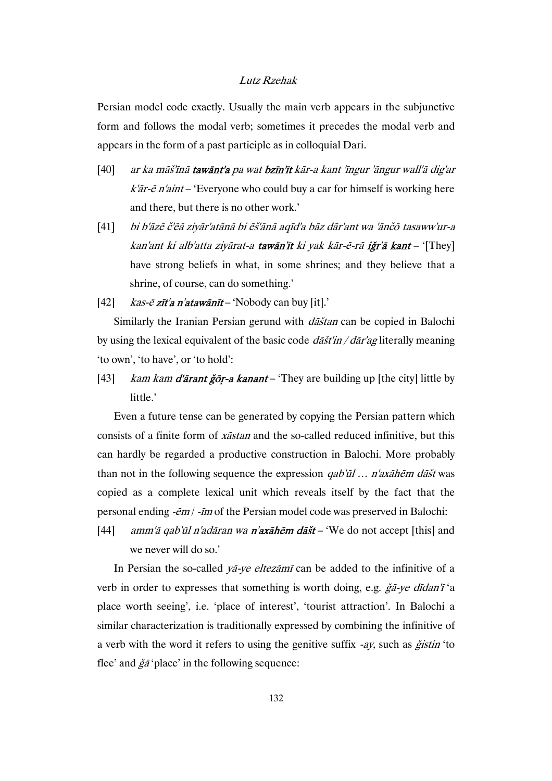Persian model code exactly. Usually the main verb appears in the subjunctive form and follows the modal verb; sometimes it precedes the modal verb and appears in the form of a past participle as in colloquial Dari.

- [40] ar ka māš'īnā tawānt'a pa wat bzīn'īt kār-a kant 'īngur 'āngur wall'ā dig'ar  $k'\bar{a}r$ - $\bar{e}$  n'aint – 'Everyone who could buy a car for himself is working here and there, but there is no other work.'
- [41] bi b'āzē č'ēā ziyār'atānā bi ēš'ānā aqīd'a bāz dār'ant wa 'ānčō tasaww'ur-a kan'ant ki alb'atta ziyārat-a tawān'īt ki yak kār-ē-rā iğr'ā kant – '[They] have strong beliefs in what, in some shrines; and they believe that a shrine, of course, can do something.'
- [42]  $kas-\bar{e} z\bar{t}a n'ataw\bar{a}n\bar{t}$  'Nobody can buy [it].'

Similarly the Iranian Persian gerund with dāštan can be copied in Balochi by using the lexical equivalent of the basic code  $d\tilde{a}$  datilectrially meaning 'to own', 'to have', or 'to hold':

[43] kam kam d'ārant ğōr-a kanant – 'They are building up [the city] little by little.'

Even a future tense can be generated by copying the Persian pattern which consists of a finite form of xāstan and the so-called reduced infinitive, but this can hardly be regarded a productive construction in Balochi. More probably than not in the following sequence the expression  $qab'$ ūl ... n'axāhēm dāšt was copied as a complete lexical unit which reveals itself by the fact that the personal ending -ēm / -īm of the Persian model code was preserved in Balochi:

[44] amm'ā qab'ūl n'adāran wa n'axāhēm dāšt – 'We do not accept [this] and we never will do so.'

In Persian the so-called *ya-ye eltezamī* can be added to the infinitive of a verb in order to expresses that something is worth doing, e.g. ğā-ye dīdan'ī 'a place worth seeing', i.e. 'place of interest', 'tourist attraction'. In Balochi a similar characterization is traditionally expressed by combining the infinitive of a verb with the word it refers to using the genitive suffix  $-ay$ , such as  $\check{g}$ *istin* 'to flee' and  $\check{g}\check{a}$ 'place' in the following sequence: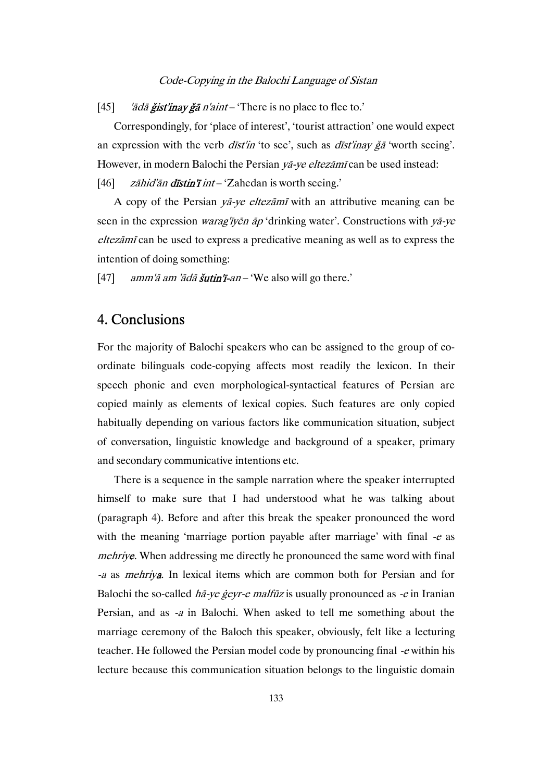[45] 'ādā **ğist'inay ğā** n'aint – 'There is no place to flee to.'

Correspondingly, for 'place of interest', 'tourist attraction' one would expect an expression with the verb  $dist'$ in 'to see', such as  $dist'$ inay  $\check{g}$  'worth seeing'. However, in modern Balochi the Persian yā-ye eltezāmī can be used instead: [46]  $z\bar{a}h\bar{d}\bar{a}n$  distin'i  $\bar{n}t$  – 'Zahedan is worth seeing.'

A copy of the Persian yā-ye eltezāmī with an attributive meaning can be seen in the expression *warag'īyēn āp* 'drinking water'. Constructions with *yā-ye* eltezāmī can be used to express a predicative meaning as well as to express the intention of doing something:

[47]  $amm'\bar{a} \, am' \bar{a} \, d\bar{a} \, \tilde{s} \, utin' \bar{I}$  an – 'We also will go there.'

# 4. Conclusions

For the majority of Balochi speakers who can be assigned to the group of coordinate bilinguals code-copying affects most readily the lexicon. In their speech phonic and even morphological-syntactical features of Persian are copied mainly as elements of lexical copies. Such features are only copied habitually depending on various factors like communication situation, subject of conversation, linguistic knowledge and background of a speaker, primary and secondary communicative intentions etc.

There is a sequence in the sample narration where the speaker interrupted himself to make sure that I had understood what he was talking about (paragraph 4). Before and after this break the speaker pronounced the word with the meaning 'marriage portion payable after marriage' with final  $-e$  as mehriye. When addressing me directly he pronounced the same word with final -a as mehriya. In lexical items which are common both for Persian and for Balochi the so-called  $h\bar{a}$ -ve gevr-e malfūz is usually pronounced as -e in Iranian Persian, and as -a in Balochi. When asked to tell me something about the marriage ceremony of the Baloch this speaker, obviously, felt like a lecturing teacher. He followed the Persian model code by pronouncing final -e within his lecture because this communication situation belongs to the linguistic domain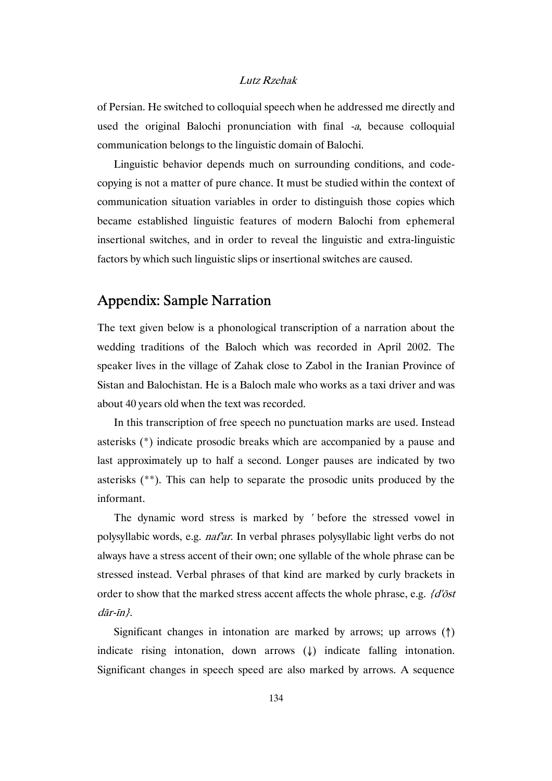of Persian. He switched to colloquial speech when he addressed me directly and used the original Balochi pronunciation with final -a, because colloquial communication belongs to the linguistic domain of Balochi.

Linguistic behavior depends much on surrounding conditions, and codecopying is not a matter of pure chance. It must be studied within the context of communication situation variables in order to distinguish those copies which became established linguistic features of modern Balochi from ephemeral insertional switches, and in order to reveal the linguistic and extra-linguistic factors by which such linguistic slips or insertional switches are caused.

# Appendix: Sample Narration

The text given below is a phonological transcription of a narration about the wedding traditions of the Baloch which was recorded in April 2002. The speaker lives in the village of Zahak close to Zabol in the Iranian Province of Sistan and Balochistan. He is a Baloch male who works as a taxi driver and was about 40 years old when the text was recorded.

In this transcription of free speech no punctuation marks are used. Instead asterisks (\*) indicate prosodic breaks which are accompanied by a pause and last approximately up to half a second. Longer pauses are indicated by two asterisks (\*\*). This can help to separate the prosodic units produced by the informant.

The dynamic word stress is marked by ' before the stressed vowel in polysyllabic words, e.g. naf'ar. In verbal phrases polysyllabic light verbs do not always have a stress accent of their own; one syllable of the whole phrase can be stressed instead. Verbal phrases of that kind are marked by curly brackets in order to show that the marked stress accent affects the whole phrase, e.g.  $d\ddot{\delta}$ dār-īn}.

Significant changes in intonation are marked by arrows; up arrows (↑) indicate rising intonation, down arrows (↓) indicate falling intonation. Significant changes in speech speed are also marked by arrows. A sequence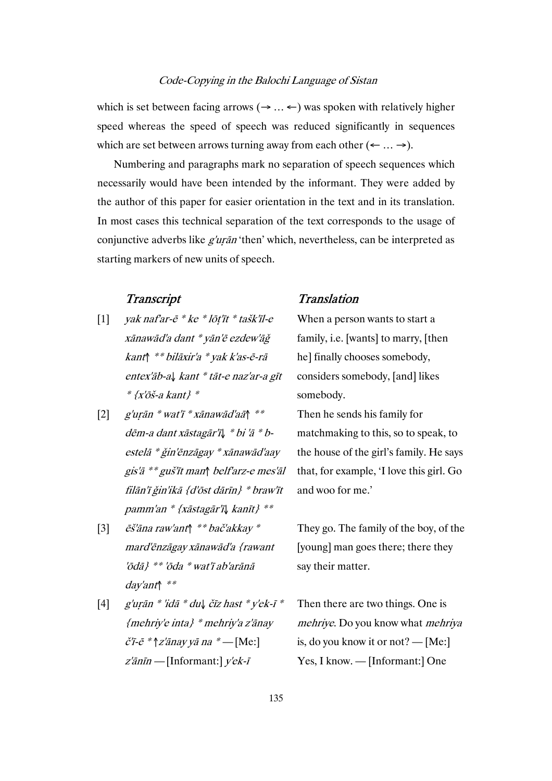which is set between facing arrows ( $\rightarrow$  ...  $\leftarrow$ ) was spoken with relatively higher speed whereas the speed of speech was reduced significantly in sequences which are set between arrows turning away from each other  $(\leftarrow \dots \rightarrow)$ .

Numbering and paragraphs mark no separation of speech sequences which necessarily would have been intended by the informant. They were added by the author of this paper for easier orientation in the text and in its translation. In most cases this technical separation of the text corresponds to the usage of conjunctive adverbs like *g'urān* 'then' which, nevertheless, can be interpreted as starting markers of new units of speech.

- [1] yak naf'ar-ē \* ke \* lōṭ'īt \* tašk'īl-e xānawād'a dant \* yān'ē ezdew'āǧ kant↑ \*\* bilāxir'a \* yak k'as-ē-rā entex'āb-a↓ kant \* tāt-e naz'ar-a gīt  $*$  {x'ōš-a kant}  $*$
- [2] g'uṛān \* wat'ī \* xānawād'aā↑ \*\* dēm-a dant xāstagār'ī↓ \* bi 'ā \* bestelā \* ǧin'ēnzāgay \* xānawād'aay gis'ā \*\* guš'īt man↑ belf'arz-e mes'āl filān'ī ǧin'ikā {d'ōst dārīn} \* braw'īt pamm'an \* {xāstagār'ī↓ kanīt} \*\*
- [3] ēš'āna raw'ant↑ \*\* bač'akkay \* mard'ēnzāgay xānawād'a {rawant 'ōdā} \*\* 'ōda \* wat'ī ab'arānā day'ant↑ \*\*
- [4] g'urān \* 'idā \* du↓ čīz hast \* y'ek-ī \* {mehriy'e inta} \* mehriy'a z'ānay  $\check{\mathcal{C}}$ 'ī-ē \*  $\uparrow$ z'ānay yā na \* — [Me:]  $z'\bar{a}n\bar{i}n$  — [Informant:]  $y'\bar{e}k-\bar{i}$

# Transcript Translation

When a person wants to start a family, i.e. [wants] to marry, [then he] finally chooses somebody, considers somebody, [and] likes somebody.

Then he sends his family for matchmaking to this, so to speak, to the house of the girl's family. He says that, for example, 'I love this girl. Go and woo for me.'

They go. The family of the boy, of the [young] man goes there; there they say their matter.

Then there are two things. One is mehriye. Do you know what mehriya is, do you know it or not? — [Me:] Yes, I know. — [Informant:] One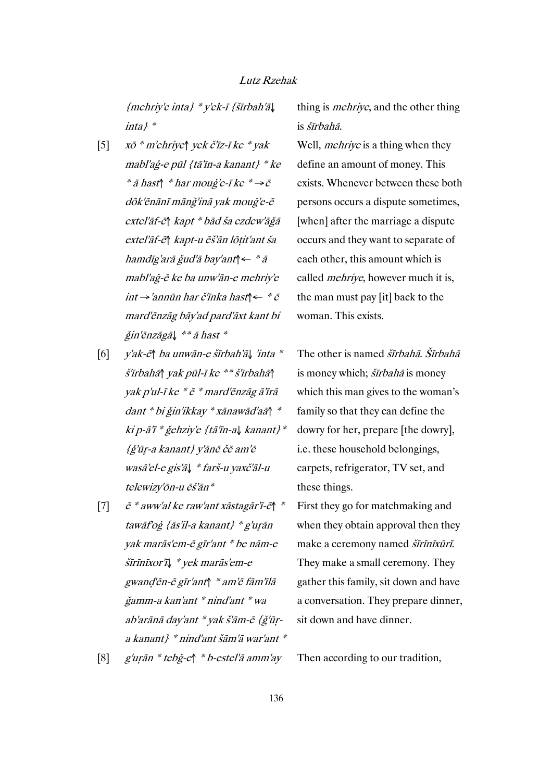{mehriy'e inta} \* y'ek-ī {šīrbah'ā↓ inta} \*

- [5] xō \* m'ehriye↑ yek č'īz-ī ke \* yak mabl'aġ-e pūl {tā'īn-a kanant} \* ke \*  $\bar{a}$  hast $\uparrow$  \* har moug'e-ī ke \* $\rightarrow$ ē dōk'ēnānī mānǧ'inā yak mouġ'e-ē extel'āf-ē↑ kapt \* bād ša ezdew'āǧā extel'āf-ē↑ kapt-u ēš'ān lōṭit'ant ša hamdīg'arā ǧud'ā bay'ant↑← \* ā mabl'aġ-ē ke ba unw'ān-e mehriy'e int →'annūn har č'īnka hast↑← \* ē mard'ēnzāg bāy'ad pard'āxt kant bi ǧin'ēnzāgā↓ \*\* ā hast \*
- [6] y'ak-ē↑ ba unwān-e šīrbah'ā↓ 'inta \* š'īrbahā↑ yak pūl-ī ke \*\* š'īrbahā↑ yak p'ul-ī ke \* ē \* mard'ēnzāg ā'īrā dant \* bi ǧin'ikkay \* xānawād'aā↑ \* ki p-ā'ī \* ǧehziy'e {tā'īn-a↓ kanant}\* {ǧ'ūṛ-a kanant} y'ānē čē am'ē wasā'el-e gis'ā↓ \* farš-u yaxč'āl-u telewizy'ōn-u ēš'ān\*
- [7]  $\vec{e} * aww'$ al ke raw'ant xāstagār'ī-ē $\uparrow$ tawāf'oġ {ās'il-a kanant} \* g'uṛān yak marās'em-ē gīr'ant \* be nām-e šīrīnīxor'ī↓ \* yek marās'em-e gwanḍ'ēn-ē gīr'ant↑ \* am'ē fām'īlā ǧamm-a kan'ant \* nind'ant \* wa ab'arānā day'ant \* yak š'ām-ē {ǧ'ūṛa kanant} \* nind'ant šām'ā war'ant \*
- [8] g'uṛān \* tebġ-e↑ \* b-estel'ā amm'ay Then according to our tradition,

# thing is *mehrive*, and the other thing is šīrbahā.

Well, *mehriye* is a thing when they define an amount of money. This exists. Whenever between these both persons occurs a dispute sometimes, [when] after the marriage a dispute occurs and they want to separate of each other, this amount which is called *mehriye*, however much it is, the man must pay [it] back to the woman. This exists.

The other is named *šīrbahā*. *Šīrbahā* is money which: *šīrbahā* is money which this man gives to the woman's family so that they can define the dowry for her, prepare [the dowry], i.e. these household belongings, carpets, refrigerator, TV set, and these things.

First they go for matchmaking and when they obtain approval then they make a ceremony named šīrīnīxūrī. They make a small ceremony. They gather this family, sit down and have a conversation. They prepare dinner, sit down and have dinner.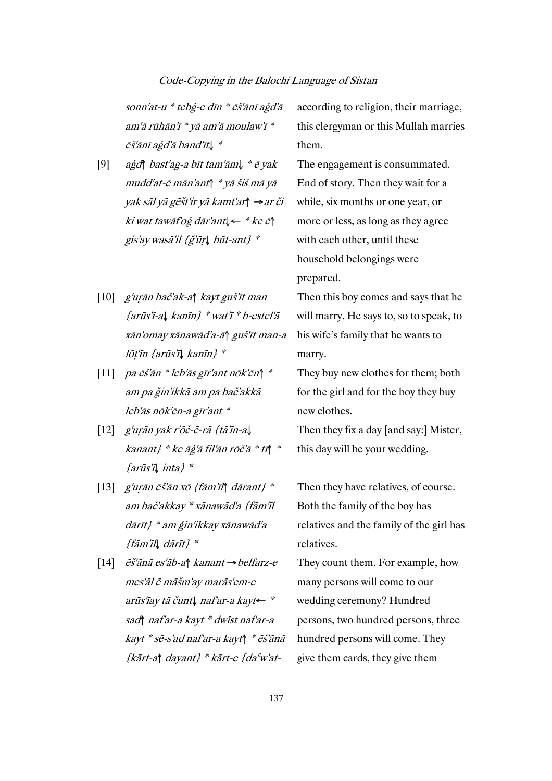sonn'at-u \* tebġ-e dīn \* ēš'ānī aġd'ā am'ā rūhān'ī \* yā am'ā moulaw'ī \* ēš'ānī aġd'ā band'īt↓ \*

- [9] aġd↑ bast'ag-a bīt tam'ām↓ \* ē yak mudd'at-ē mān'ant↑ \* yā šiš mā yā yak sāl yā gēšt'ir yā kamt'ar↑ →ar či ki wat tawāf'oġ dār'ant↓← \* ke ē↑ gis'ay wasā'il {ǧ'ūṛ↓ būt-ant} \*
- [10] g'uṛān bač'ak-a↑ kayt guš'īt man {arūs'ī-a↓ kanīn} \* wat'ī \* b-estel'ā xān'omay xānawād'a-ā↑ guš'īt man-a lōṭ'īn {arūs'ī↓ kanīn} \*
- [11] pa ēš'ān \* leb'ās gīr'ant nōk'ēn↑ \* am pa ǧin'ikkā am pa bač'akkā leb'ās nōk'ēn-a gīr'ant \*
- [12] g'uṛān yak r'ōč-ē-rā {tā'īn-a↓ kanant} \* ke āġ'ā fil'ān rōč'ā \* tī↑ \* {arūs'ī↓ inta} \*
- [13] g'uṛān ēš'ān xō {fām'īl↑ dārant} \* am bač'akkay \* xānawād'a {fām'īl dārīt} \* am ǧin'ikkay xānawād'a {fām'īl↓ dārīt} \*
- [14] ēš'ānā es'āb-a↑ kanant →belfarz-e mes'āl ē māšm'ay marās'em-e arūs'īay tā čunt↓ naf'ar-a kayt← \* sad↑ naf'ar-a kayt \* dwīst naf'ar-a kayt \* sē-s'ad naf'ar-a kayt↑ \* ēš'ānā {kārt-a↑ dayant} \* kārt-e {daʿw'at-

according to religion, their marriage, this clergyman or this Mullah marries them.

The engagement is consummated. End of story. Then they wait for a while, six months or one year, or more or less, as long as they agree with each other, until these household belongings were prepared.

Then this boy comes and says that he will marry. He says to, so to speak, to his wife's family that he wants to marry.

They buy new clothes for them; both for the girl and for the boy they buy new clothes.

Then they fix a day [and say:] Mister, this day will be your wedding.

Then they have relatives, of course. Both the family of the boy has relatives and the family of the girl has relatives.

They count them. For example, how many persons will come to our wedding ceremony? Hundred persons, two hundred persons, three hundred persons will come. They give them cards, they give them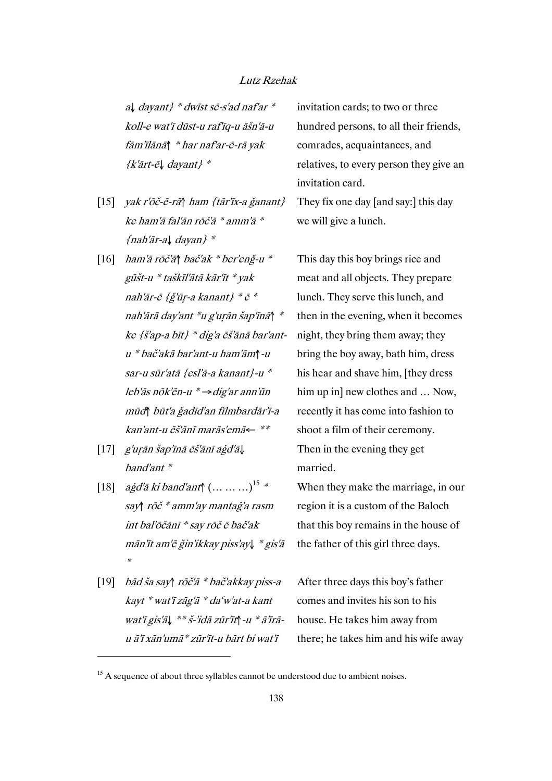<sup>a</sup>↓ dayant} \* dwīst sē-s'ad naf'ar \* koll-e wat'ī dūst-u raf'īq-u āšn'ā-u fām'īlānā↑ \* har naf'ar-ē-rā yak {k'ārt-ē↓ dayant} \*

- [15] yak r'ōč-ē-rā↑ ham {tār'īx-a ǧanant} ke ham'ā fal'ān rōč'ā \* amm'ā \* {nah'ār-a↓ dayan} \*
- [16] ham'ā rōč'ā↑ bač'ak \* ber'enǧ-u \* gūšt-u \* taškīl'ātā kār'īt \* yak nah'ār-ē {ǧ'ūṛ-a kanant} \* ē \* nah'ārā day'ant \*u g'uṛān šap'īnā↑ \* ke {š'ap-a bīt} \* dig'a ēš'ānā bar'ant<sup>u</sup>\* bač'akā bar'ant-u ham'ām↑-u sar-u sūr'atā {esl'ā-a kanant}-u \* leb'ās nōk'ēn-u \* →dig'ar ann'ūn mūd↑ būt'a ǧadīd'an fīlmbardār'ī-a kan'ant-u ēš'ānī marās'emā← \*\*
- [17] g'uṛān šap'īnā ēš'ānī aġd'ā↓ band'ant \*
- [18]  $a\dot{g}d'\bar{a}$  ki band'ant $\uparrow$  (… … …)<sup>15</sup> \* say↑ rōč \* amm'ay mantaġ'a rasm int bal'ōčānī \* say rōč ē bač'ak mān'īt am'ē ǧin'ikkay piss'ay↓ \* gis'ā \*
- [19] bād ša say↑ rōč'ā \* bač'akkay piss-a kayt \* wat'ī zāg'ā \* daʿw'at-a kant wat'ī gis'ā↓ \*\* š-'idā zūr'īt↑-u \* ā'īrāu ā'ī xān'umā\* zūr'īt-u bārt bi wat'ī

 $\overline{a}$ 

invitation cards; to two or three hundred persons, to all their friends, comrades, acquaintances, and relatives, to every person they give an invitation card.

They fix one day [and say:] this day we will give a lunch.

This day this boy brings rice and meat and all objects. They prepare lunch. They serve this lunch, and then in the evening, when it becomes night, they bring them away; they bring the boy away, bath him, dress his hear and shave him, [they dress him up in] new clothes and ... Now, recently it has come into fashion to shoot a film of their ceremony. Then in the evening they get married.

When they make the marriage, in our region it is a custom of the Baloch that this boy remains in the house of the father of this girl three days.

After three days this boy's father comes and invites his son to his house. He takes him away from there; he takes him and his wife away

 $15$  A sequence of about three syllables cannot be understood due to ambient noises.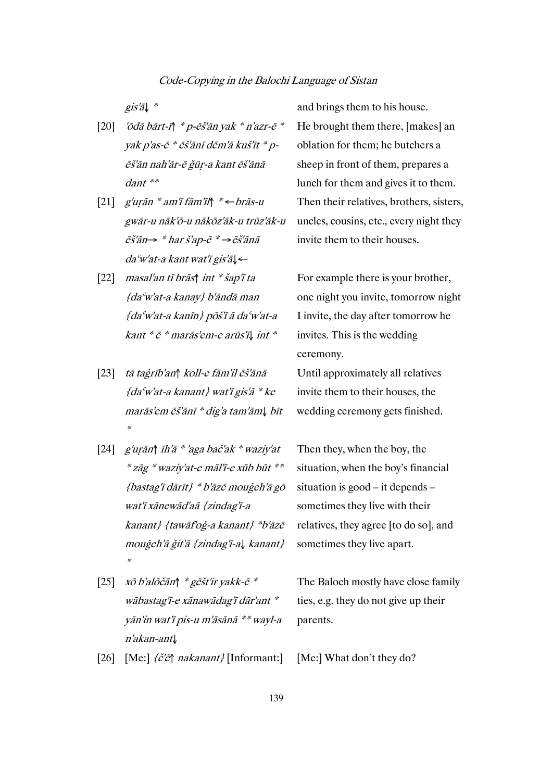- [20] 'ōdā bārt-ī↑ \* p-ēš'ān yak \* n'azr-ē \* yak p'as-ē \* ēš'ānī dēm'ā kuš'īt \* pēš'ān nah'ār-ē ǧūṛ-a kant ēš'ānā dant \*\*
- [21] g'uṛān \* am'ī fām'īl↑ \* ←brās-u gwār-u nāk'ō-u nākōz'āk-u trūz'āk-u ēš'ān→ \* har š'ap-ē \* →ēš'ānā daʿw'at-a kant wat'ī gis'ā↓←
- [22] masal'an tī brās↑ int \* šap'ī ta {daʿw'at-a kanay} b'āndā man {daʿw'at-a kanīn} pōš'ī ā daʿw'at-a kant \* ē \* marās'em-e arūs'ī↓ int \*
- [23] tā taġrīb'an↑ koll-e fām'il ēš'ānā  ${da<sup>c</sup>w'at-a kanant}$  wat'i gis'a \* ke marās'em ēš'ānī \* dig'a tam'ām↓ bīt \*
- [24] g'uṛān↑ īh'ā \* 'aga bač'ak \* waziy'at \* zāg \* waziy'at-e māl'ī-e xūb būt \*\* {bastag'ī dārīt} \* b'āzē mouġeh'ā gō wat'ī xānewād'aā {zindag'ī-a kanant} {tawāf'oġ-a kanant} \*b'āzē mouġeh'ā ǧit'ā {zindag'ī-a↓ kanant} \*
- [25] xō b'alōčān↑ \* gēšt'ir yakk-ē \* wābastag'ī-e xānawādag'ī dār'ant \* yān'in wat'ī pis-u m'āsānā \*\* wayl-a <sup>n</sup>'akan-ant↓
- [26] [Me:] {č'ē↑ nakanant} [Informant:] [Me:] What don't they do?

gis' $\overline{a}$   $\downarrow$  \* and brings them to his house. He brought them there, [makes] an oblation for them; he butchers a sheep in front of them, prepares a lunch for them and gives it to them. Then their relatives, brothers, sisters, uncles, cousins, etc., every night they invite them to their houses.

> For example there is your brother, one night you invite, tomorrow night I invite, the day after tomorrow he invites. This is the wedding ceremony.

Until approximately all relatives invite them to their houses, the wedding ceremony gets finished.

Then they, when the boy, the situation, when the boy's financial situation is good – it depends – sometimes they live with their relatives, they agree [to do so], and sometimes they live apart.

The Baloch mostly have close family ties, e.g. they do not give up their parents.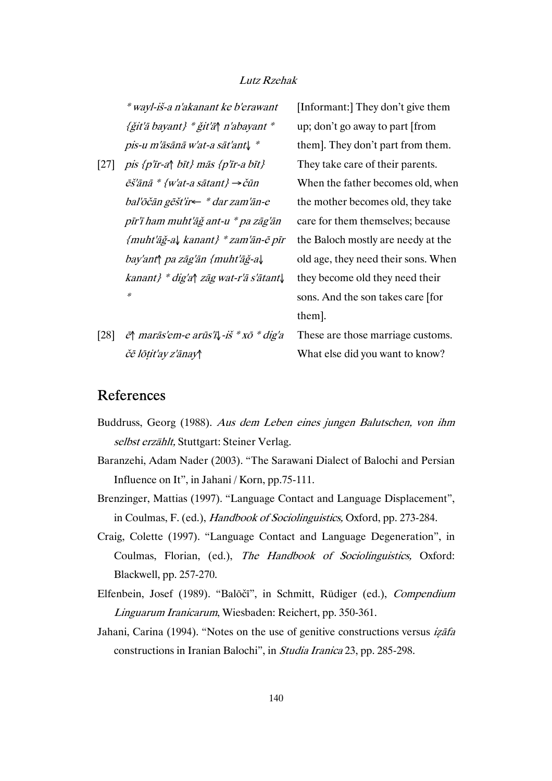\* wayl-iš-a n'akanant ke b'erawant {ǧit'ā bayant} \* ǧit'ā↑ n'abayant \* pis-u m'āsānā w'at-a sāt'ant↓ \*

- [27] pis {p'īr-a↑ bīt} mās {p'īr-a bīt}  $\tilde{e}$ š'ānā \* {w'at-a sātant}  $\rightarrow$ čūn bal'ōčān gēšt'ir← \* dar zam'ān-e pīr'ī ham muht'āǧ ant-u \* pa zāg'ān {muht'āǧ-a↓ kanant} \* zam'ān-ē pīr bay'ant↑ pa zāg'ān {muht'āǧ-a↓ kanant} \* dig'a↑ zāg wat-r'ā s'ātant↓ \*
- [28] ē↑ marās'em-e arūs'ī↓-iš \* xō \* dig'a čē lōṭit'ay z'ānay↑

[Informant:] They don't give them up; don't go away to part [from them]. They don't part from them. They take care of their parents. When the father becomes old, when the mother becomes old, they take care for them themselves; because the Baloch mostly are needy at the old age, they need their sons. When they become old they need their sons. And the son takes care [for them].

These are those marriage customs. What else did you want to know?

# References

- Buddruss, Georg (1988). Aus dem Leben eines jungen Balutschen, von ihm selbst erzählt, Stuttgart: Steiner Verlag.
- Baranzehi, Adam Nader (2003). "The Sarawani Dialect of Balochi and Persian Influence on It", in Jahani / Korn, pp.75-111.
- Brenzinger, Mattias (1997). "Language Contact and Language Displacement", in Coulmas, F. (ed.), Handbook of Sociolinguistics, Oxford, pp. 273-284.
- Craig, Colette (1997). "Language Contact and Language Degeneration", in Coulmas, Florian, (ed.), The Handbook of Sociolinguistics, Oxford: Blackwell, pp. 257-270.
- Elfenbein, Josef (1989). "Balōčī", in Schmitt, Rüdiger (ed.), Compendium Linguarum Iranicarum, Wiesbaden: Reichert, pp. 350-361.
- Jahani, Carina (1994). "Notes on the use of genitive constructions versus *izafa* constructions in Iranian Balochi", in Studia Iranica 23, pp. 285-298.